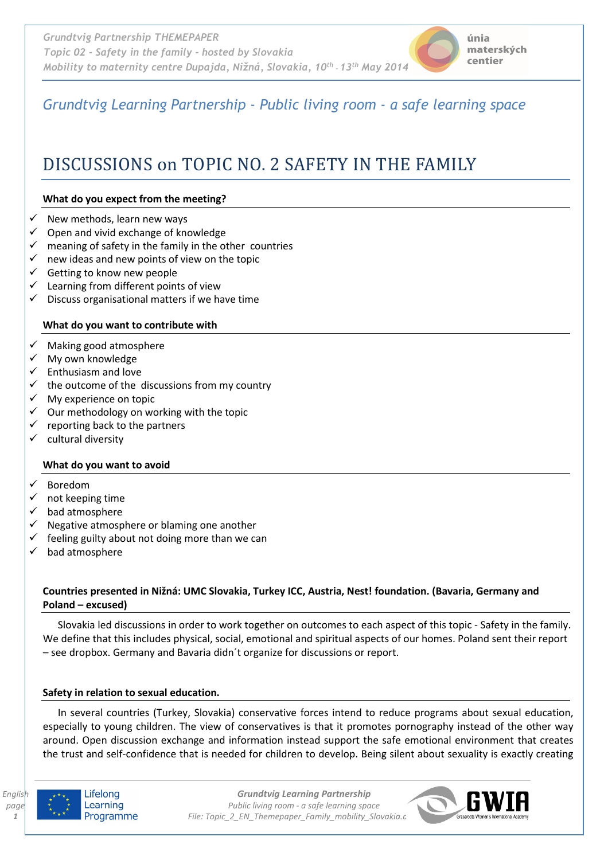# *Grundtvig Learning Partnership - Public living room - a safe learning space*

# DISCUSSIONS on TOPIC NO. 2 SAFETY IN THE FAMILY

# **What do you expect from the meeting?**

- New methods, learn new ways
- Open and vivid exchange of knowledge
- $\checkmark$  meaning of safety in the family in the other countries
- $\checkmark$  new ideas and new points of view on the topic
- $\checkmark$  Getting to know new people
- Learning from different points of view
- $\checkmark$  Discuss organisational matters if we have time

# **What do you want to contribute with**

- Making good atmosphere
- $\checkmark$  My own knowledge
- $\checkmark$  Enthusiasm and love
- $\checkmark$  the outcome of the discussions from my country
- $\checkmark$  My experience on topic
- $\checkmark$  Our methodology on working with the topic
- $\checkmark$  reporting back to the partners
- $\checkmark$  cultural diversity

#### **What do you want to avoid**

- Boredom
- $\checkmark$  not keeping time
- $\checkmark$  bad atmosphere
- Negative atmosphere or blaming one another
- $\checkmark$  feeling guilty about not doing more than we can
- bad atmosphere

# **Countries presented in Nižná: UMC Slovakia, Turkey ICC, Austria, Nest! foundation. (Bavaria, Germany and Poland – excused)**

Slovakia led discussions in order to work together on outcomes to each aspect of this topic - Safety in the family. We define that this includes physical, social, emotional and spiritual aspects of our homes. Poland sent their report – see dropbox. Germany and Bavaria didn´t organize for discussions or report.

#### **Safety in relation to sexual education.**

 In several countries (Turkey, Slovakia) conservative forces intend to reduce programs about sexual education, especially to young children. The view of conservatives is that it promotes pornography instead of the other way around. Open discussion exchange and information instead support the safe emotional environment that creates the trust and self-confidence that is needed for children to develop. Being silent about sexuality is exactly creating



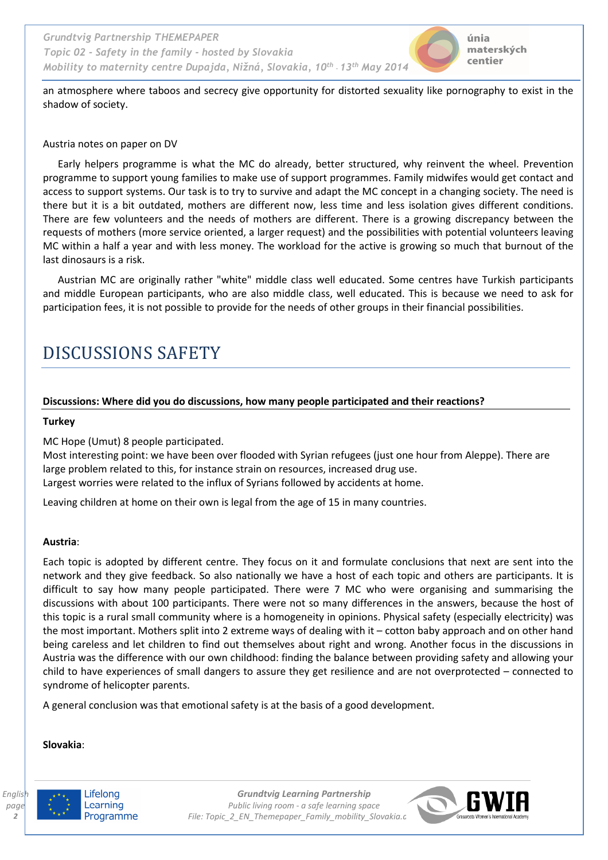an atmosphere where taboos and secrecy give opportunity for distorted sexuality like pornography to exist in the shadow of society.

#### Austria notes on paper on DV

Early helpers programme is what the MC do already, better structured, why reinvent the wheel. Prevention programme to support young families to make use of support programmes. Family midwifes would get contact and access to support systems. Our task is to try to survive and adapt the MC concept in a changing society. The need is there but it is a bit outdated, mothers are different now, less time and less isolation gives different conditions. There are few volunteers and the needs of mothers are different. There is a growing discrepancy between the requests of mothers (more service oriented, a larger request) and the possibilities with potential volunteers leaving MC within a half a year and with less money. The workload for the active is growing so much that burnout of the last dinosaurs is a risk.

Austrian MC are originally rather "white" middle class well educated. Some centres have Turkish participants and middle European participants, who are also middle class, well educated. This is because we need to ask for participation fees, it is not possible to provide for the needs of other groups in their financial possibilities.

# DISCUSSIONS SAFETY

# **Discussions: Where did you do discussions, how many people participated and their reactions?**

#### **Turkey**

MC Hope (Umut) 8 people participated.

Most interesting point: we have been over flooded with Syrian refugees (just one hour from Aleppe). There are large problem related to this, for instance strain on resources, increased drug use. Largest worries were related to the influx of Syrians followed by accidents at home.

Leaving children at home on their own is legal from the age of 15 in many countries.

#### **Austria**:

Each topic is adopted by different centre. They focus on it and formulate conclusions that next are sent into the network and they give feedback. So also nationally we have a host of each topic and others are participants. It is difficult to say how many people participated. There were 7 MC who were organising and summarising the discussions with about 100 participants. There were not so many differences in the answers, because the host of this topic is a rural small community where is a homogeneity in opinions. Physical safety (especially electricity) was the most important. Mothers split into 2 extreme ways of dealing with it – cotton baby approach and on other hand being careless and let children to find out themselves about right and wrong. Another focus in the discussions in Austria was the difference with our own childhood: finding the balance between providing safety and allowing your child to have experiences of small dangers to assure they get resilience and are not overprotected – connected to syndrome of helicopter parents.

A general conclusion was that emotional safety is at the basis of a good development.

#### **Slovakia**:



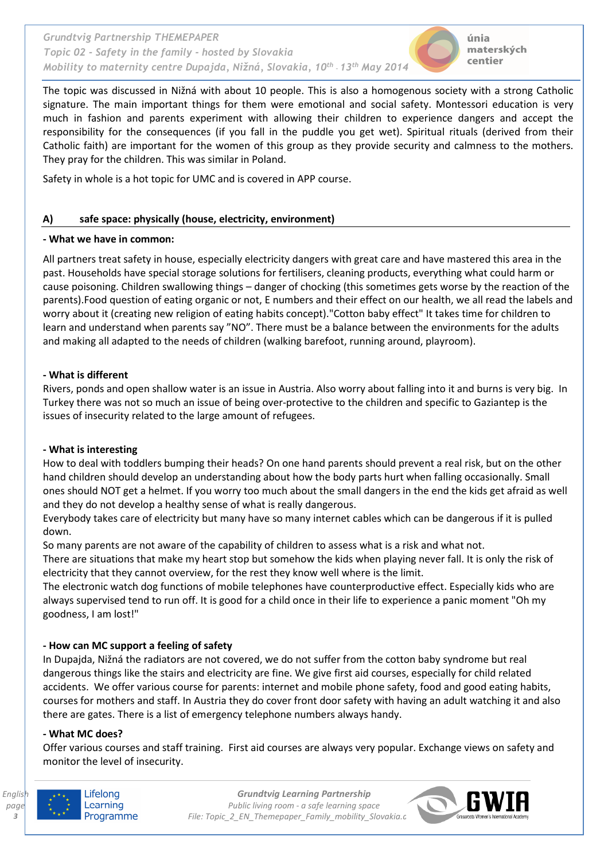

únia materských centier

The topic was discussed in Nižná with about 10 people. This is also a homogenous society with a strong Catholic signature. The main important things for them were emotional and social safety. Montessori education is very much in fashion and parents experiment with allowing their children to experience dangers and accept the responsibility for the consequences (if you fall in the puddle you get wet). Spiritual rituals (derived from their Catholic faith) are important for the women of this group as they provide security and calmness to the mothers. They pray for the children. This was similar in Poland.

Safety in whole is a hot topic for UMC and is covered in APP course.

# **A) safe space: physically (house, electricity, environment)**

# **- What we have in common:**

All partners treat safety in house, especially electricity dangers with great care and have mastered this area in the past. Households have special storage solutions for fertilisers, cleaning products, everything what could harm or cause poisoning. Children swallowing things – danger of chocking (this sometimes gets worse by the reaction of the parents).Food question of eating organic or not, E numbers and their effect on our health, we all read the labels and worry about it (creating new religion of eating habits concept)."Cotton baby effect" It takes time for children to learn and understand when parents say "NO". There must be a balance between the environments for the adults and making all adapted to the needs of children (walking barefoot, running around, playroom).

# **- What is different**

Rivers, ponds and open shallow water is an issue in Austria. Also worry about falling into it and burns is very big. In Turkey there was not so much an issue of being over-protective to the children and specific to Gaziantep is the issues of insecurity related to the large amount of refugees.

# **- What is interesting**

How to deal with toddlers bumping their heads? On one hand parents should prevent a real risk, but on the other hand children should develop an understanding about how the body parts hurt when falling occasionally. Small ones should NOT get a helmet. If you worry too much about the small dangers in the end the kids get afraid as well and they do not develop a healthy sense of what is really dangerous.

Everybody takes care of electricity but many have so many internet cables which can be dangerous if it is pulled down.

So many parents are not aware of the capability of children to assess what is a risk and what not.

There are situations that make my heart stop but somehow the kids when playing never fall. It is only the risk of electricity that they cannot overview, for the rest they know well where is the limit.

The electronic watch dog functions of mobile telephones have counterproductive effect. Especially kids who are always supervised tend to run off. It is good for a child once in their life to experience a panic moment "Oh my goodness, I am lost!"

# **- How can MC support a feeling of safety**

In Dupajda, Nižná the radiators are not covered, we do not suffer from the cotton baby syndrome but real dangerous things like the stairs and electricity are fine. We give first aid courses, especially for child related accidents. We offer various course for parents: internet and mobile phone safety, food and good eating habits, courses for mothers and staff. In Austria they do cover front door safety with having an adult watching it and also there are gates. There is a list of emergency telephone numbers always handy.

# **- What MC does?**

Offer various courses and staff training. First aid courses are always very popular. Exchange views on safety and monitor the level of insecurity.



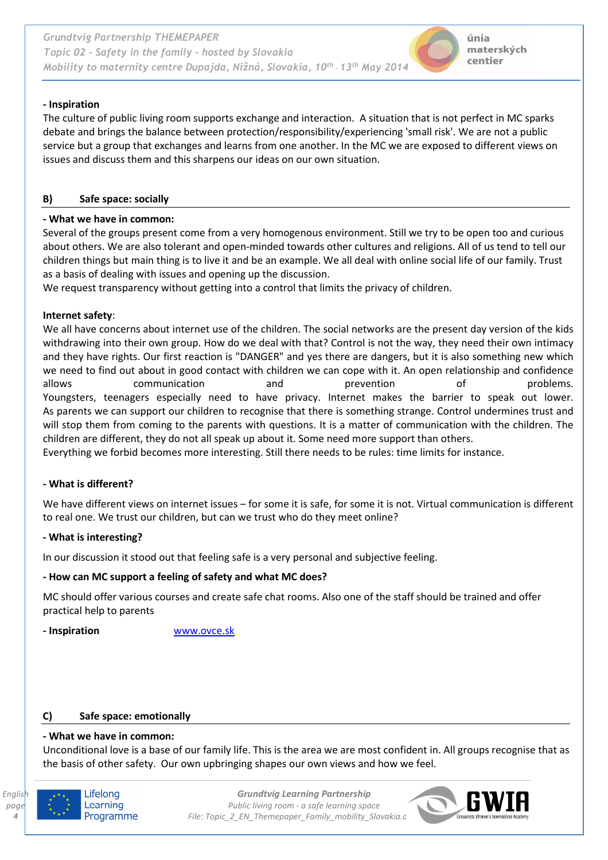# **- Inspiration**

The culture of public living room supports exchange and interaction. A situation that is not perfect in MC sparks debate and brings the balance between protection/responsibility/experiencing 'small risk'. We are not a public service but a group that exchanges and learns from one another. In the MC we are exposed to different views on issues and discuss them and this sharpens our ideas on our own situation.

# **B) Safe space: socially**

# **- What we have in common:**

Several of the groups present come from a very homogenous environment. Still we try to be open too and curious about others. We are also tolerant and open-minded towards other cultures and religions. All of us tend to tell our children things but main thing is to live it and be an example. We all deal with online social life of our family. Trust as a basis of dealing with issues and opening up the discussion.

We request transparency without getting into a control that limits the privacy of children.

# **Internet safety**:

We all have concerns about internet use of the children. The social networks are the present day version of the kids withdrawing into their own group. How do we deal with that? Control is not the way, they need their own intimacy and they have rights. Our first reaction is "DANGER" and yes there are dangers, but it is also something new which we need to find out about in good contact with children we can cope with it. An open relationship and confidence allows communication and prevention of problems. Youngsters, teenagers especially need to have privacy. Internet makes the barrier to speak out lower. As parents we can support our children to recognise that there is something strange. Control undermines trust and will stop them from coming to the parents with questions. It is a matter of communication with the children. The children are different, they do not all speak up about it. Some need more support than others.

Everything we forbid becomes more interesting. Still there needs to be rules: time limits for instance.

# **- What is different?**

We have different views on internet issues – for some it is safe, for some it is not. Virtual communication is different to real one. We trust our children, but can we trust who do they meet online?

#### **- What is interesting?**

In our discussion it stood out that feeling safe is a very personal and subjective feeling.

# **- How can MC support a feeling of safety and what MC does?**

MC should offer various courses and create safe chat rooms. Also one of the staff should be trained and offer practical help to parents

**- Inspiration** www.ovce.sk

#### **C) Safe space: emotionally**

# **- What we have in common:**

Unconditional love is a base of our family life. This is the area we are most confident in. All groups recognise that as the basis of other safety. Our own upbringing shapes our own views and how we feel.



Lifelong Learning Programme

*Grundtvig Learning Partnership Public living room - a safe learning space File: Topic\_2\_EN\_Themepaper\_Family\_mobility\_Slovakia.docx* 

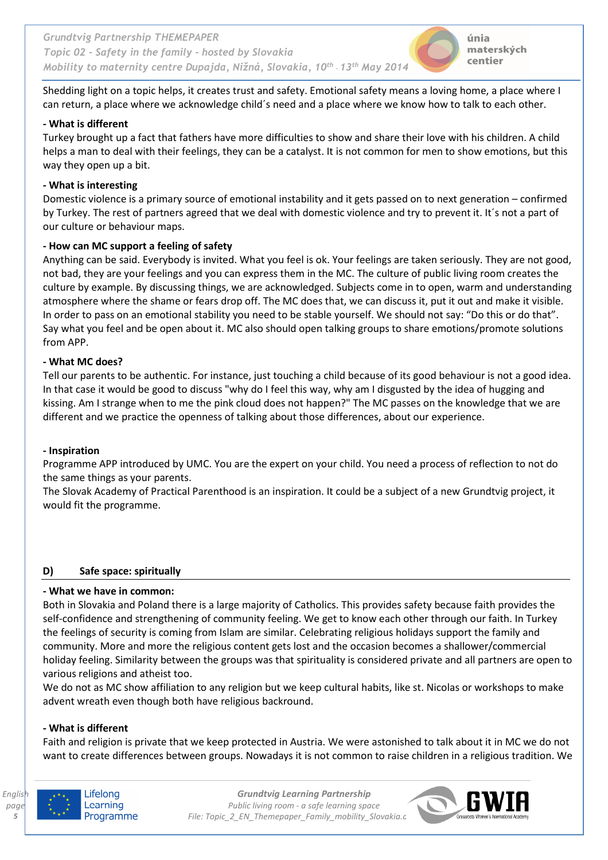

Shedding light on a topic helps, it creates trust and safety. Emotional safety means a loving home, a place where I can return, a place where we acknowledge child´s need and a place where we know how to talk to each other.

# **- What is different**

Turkey brought up a fact that fathers have more difficulties to show and share their love with his children. A child helps a man to deal with their feelings, they can be a catalyst. It is not common for men to show emotions, but this way they open up a bit.

# **- What is interesting**

Domestic violence is a primary source of emotional instability and it gets passed on to next generation – confirmed by Turkey. The rest of partners agreed that we deal with domestic violence and try to prevent it. It´s not a part of our culture or behaviour maps.

# **- How can MC support a feeling of safety**

Anything can be said. Everybody is invited. What you feel is ok. Your feelings are taken seriously. They are not good, not bad, they are your feelings and you can express them in the MC. The culture of public living room creates the culture by example. By discussing things, we are acknowledged. Subjects come in to open, warm and understanding atmosphere where the shame or fears drop off. The MC does that, we can discuss it, put it out and make it visible. In order to pass on an emotional stability you need to be stable yourself. We should not say: "Do this or do that". Say what you feel and be open about it. MC also should open talking groups to share emotions/promote solutions from APP.

# **- What MC does?**

Tell our parents to be authentic. For instance, just touching a child because of its good behaviour is not a good idea. In that case it would be good to discuss "why do I feel this way, why am I disgusted by the idea of hugging and kissing. Am I strange when to me the pink cloud does not happen?" The MC passes on the knowledge that we are different and we practice the openness of talking about those differences, about our experience.

#### **- Inspiration**

Programme APP introduced by UMC. You are the expert on your child. You need a process of reflection to not do the same things as your parents.

The Slovak Academy of Practical Parenthood is an inspiration. It could be a subject of a new Grundtvig project, it would fit the programme.

# **D) Safe space: spiritually**

#### **- What we have in common:**

Both in Slovakia and Poland there is a large majority of Catholics. This provides safety because faith provides the self-confidence and strengthening of community feeling. We get to know each other through our faith. In Turkey the feelings of security is coming from Islam are similar. Celebrating religious holidays support the family and community. More and more the religious content gets lost and the occasion becomes a shallower/commercial holiday feeling. Similarity between the groups was that spirituality is considered private and all partners are open to various religions and atheist too.

We do not as MC show affiliation to any religion but we keep cultural habits, like st. Nicolas or workshops to make advent wreath even though both have religious backround.

#### **- What is different**

Faith and religion is private that we keep protected in Austria. We were astonished to talk about it in MC we do not want to create differences between groups. Nowadays it is not common to raise children in a religious tradition. We



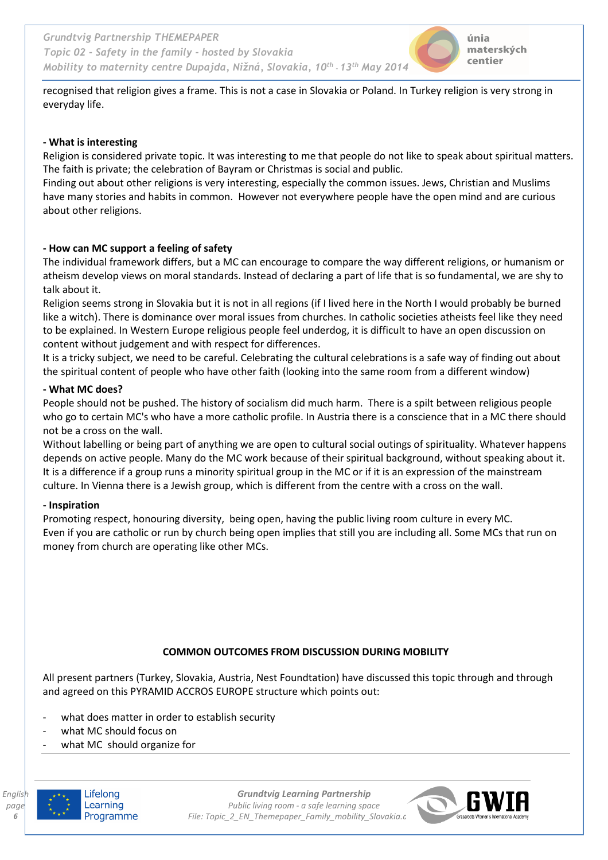recognised that religion gives a frame. This is not a case in Slovakia or Poland. In Turkey religion is very strong in everyday life.

#### **- What is interesting**

Religion is considered private topic. It was interesting to me that people do not like to speak about spiritual matters. The faith is private; the celebration of Bayram or Christmas is social and public.

Finding out about other religions is very interesting, especially the common issues. Jews, Christian and Muslims have many stories and habits in common. However not everywhere people have the open mind and are curious about other religions.

# **- How can MC support a feeling of safety**

The individual framework differs, but a MC can encourage to compare the way different religions, or humanism or atheism develop views on moral standards. Instead of declaring a part of life that is so fundamental, we are shy to talk about it.

Religion seems strong in Slovakia but it is not in all regions (if I lived here in the North I would probably be burned like a witch). There is dominance over moral issues from churches. In catholic societies atheists feel like they need to be explained. In Western Europe religious people feel underdog, it is difficult to have an open discussion on content without judgement and with respect for differences.

It is a tricky subject, we need to be careful. Celebrating the cultural celebrations is a safe way of finding out about the spiritual content of people who have other faith (looking into the same room from a different window)

#### **- What MC does?**

People should not be pushed. The history of socialism did much harm. There is a spilt between religious people who go to certain MC's who have a more catholic profile. In Austria there is a conscience that in a MC there should not be a cross on the wall.

Without labelling or being part of anything we are open to cultural social outings of spirituality. Whatever happens depends on active people. Many do the MC work because of their spiritual background, without speaking about it. It is a difference if a group runs a minority spiritual group in the MC or if it is an expression of the mainstream culture. In Vienna there is a Jewish group, which is different from the centre with a cross on the wall.

#### **- Inspiration**

Promoting respect, honouring diversity, being open, having the public living room culture in every MC. Even if you are catholic or run by church being open implies that still you are including all. Some MCs that run on money from church are operating like other MCs.

# **COMMON OUTCOMES FROM DISCUSSION DURING MOBILITY**

All present partners (Turkey, Slovakia, Austria, Nest Foundtation) have discussed this topic through and through and agreed on this PYRAMID ACCROS EUROPE structure which points out:

- what does matter in order to establish security
- what MC should focus on
- what MC should organize for



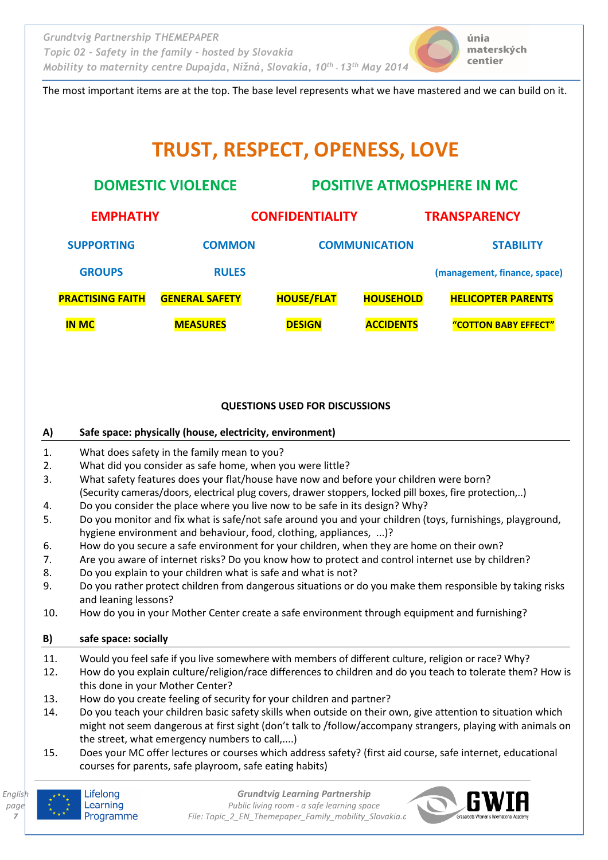

The most important items are at the top. The base level represents what we have mastered and we can build on it.

# **TRUST, RESPECT, OPENESS, LOVE**

| <b>DOMESTIC VIOLENCE</b> |                       | <b>POSITIVE ATMOSPHERE IN MC</b> |                  |                              |
|--------------------------|-----------------------|----------------------------------|------------------|------------------------------|
| <b>EMPHATHY</b>          |                       | <b>CONFIDENTIALITY</b>           |                  | <b>TRANSPARENCY</b>          |
| <b>SUPPORTING</b>        | <b>COMMON</b>         | <b>COMMUNICATION</b>             |                  | <b>STABILITY</b>             |
| <b>GROUPS</b>            | <b>RULES</b>          |                                  |                  | (management, finance, space) |
| <b>PRACTISING FAITH</b>  | <b>GENERAL SAFETY</b> | <b>HOUSE/FLAT</b>                | <b>HOUSEHOLD</b> | <b>HELICOPTER PARENTS</b>    |
| <b>IN MC</b>             | <b>MEASURES</b>       | <b>DESIGN</b>                    | <b>ACCIDENTS</b> | "COTTON BABY EFFECT"         |

# **QUESTIONS USED FOR DISCUSSIONS**

# **A) Safe space: physically (house, electricity, environment)**

- 1. What does safety in the family mean to you?
- 2. What did you consider as safe home, when you were little?
- 3. What safety features does your flat/house have now and before your children were born? (Security cameras/doors, electrical plug covers, drawer stoppers, locked pill boxes, fire protection,..)
- 4. Do you consider the place where you live now to be safe in its design? Why?
- 5. Do you monitor and fix what is safe/not safe around you and your children (toys, furnishings, playground, hygiene environment and behaviour, food, clothing, appliances, ...)?
- 6. How do you secure a safe environment for your children, when they are home on their own?
- 7. Are you aware of internet risks? Do you know how to protect and control internet use by children?
- 8. Do you explain to your children what is safe and what is not?
- 9. Do you rather protect children from dangerous situations or do you make them responsible by taking risks and leaning lessons?
- 10. How do you in your Mother Center create a safe environment through equipment and furnishing?

# **B) safe space: socially**

- 11. Would you feel safe if you live somewhere with members of different culture, religion or race? Why?
- 12. How do you explain culture/religion/race differences to children and do you teach to tolerate them? How is this done in your Mother Center?
- 13. How do you create feeling of security for your children and partner?
- 14. Do you teach your children basic safety skills when outside on their own, give attention to situation which might not seem dangerous at first sight (don't talk to /follow/accompany strangers, playing with animals on the street, what emergency numbers to call,....)
- 15. Does your MC offer lectures or courses which address safety? (first aid course, safe internet, educational courses for parents, safe playroom, safe eating habits)



*7*